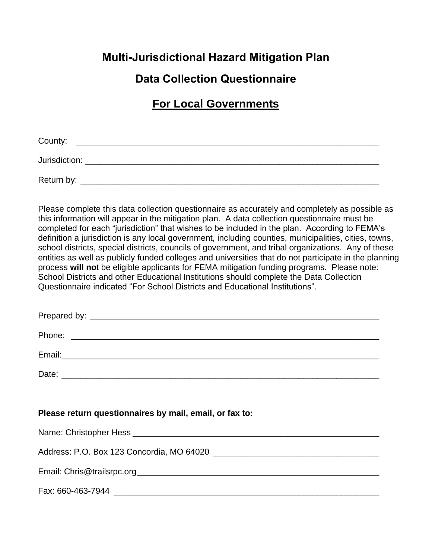# **Multi-Jurisdictional Hazard Mitigation Plan**

# **Data Collection Questionnaire**

# **For Local Governments**

| County:       |  |  |  |
|---------------|--|--|--|
| Jurisdiction: |  |  |  |
| Return by:    |  |  |  |

Please complete this data collection questionnaire as accurately and completely as possible as this information will appear in the mitigation plan. A data collection questionnaire must be completed for each "jurisdiction" that wishes to be included in the plan. According to FEMA's definition a jurisdiction is any local government, including counties, municipalities, cities, towns, school districts, special districts, councils of government, and tribal organizations. Any of these entities as well as publicly funded colleges and universities that do not participate in the planning process **will no**t be eligible applicants for FEMA mitigation funding programs. Please note: School Districts and other Educational Institutions should complete the Data Collection Questionnaire indicated "For School Districts and Educational Institutions".

| Please return questionnaires by mail, email, or fax to:                                                         |
|-----------------------------------------------------------------------------------------------------------------|
|                                                                                                                 |
|                                                                                                                 |
| Address: P.O. Box 123 Concordia, MO 64020 [14] [2010] [2010] [2010] [2010] [2010] [2010] [2010] [2010] [2010] [ |
|                                                                                                                 |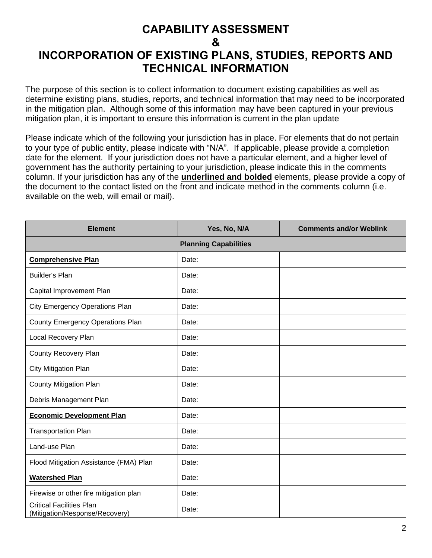## **CAPABILITY ASSESSMENT & INCORPORATION OF EXISTING PLANS, STUDIES, REPORTS AND TECHNICAL INFORMATION**

The purpose of this section is to collect information to document existing capabilities as well as determine existing plans, studies, reports, and technical information that may need to be incorporated in the mitigation plan. Although some of this information may have been captured in your previous mitigation plan, it is important to ensure this information is current in the plan update

Please indicate which of the following your jurisdiction has in place. For elements that do not pertain to your type of public entity, please indicate with "N/A". If applicable, please provide a completion date for the element. If your jurisdiction does not have a particular element, and a higher level of government has the authority pertaining to your jurisdiction, please indicate this in the comments column. If your jurisdiction has any of the **underlined and bolded** elements, please provide a copy of the document to the contact listed on the front and indicate method in the comments column (i.e. available on the web, will email or mail).

| <b>Element</b>                                                    | Yes, No, N/A | <b>Comments and/or Weblink</b> |  |  |  |
|-------------------------------------------------------------------|--------------|--------------------------------|--|--|--|
| <b>Planning Capabilities</b>                                      |              |                                |  |  |  |
| <b>Comprehensive Plan</b>                                         | Date:        |                                |  |  |  |
| <b>Builder's Plan</b>                                             | Date:        |                                |  |  |  |
| Capital Improvement Plan                                          | Date:        |                                |  |  |  |
| <b>City Emergency Operations Plan</b>                             | Date:        |                                |  |  |  |
| <b>County Emergency Operations Plan</b>                           | Date:        |                                |  |  |  |
| Local Recovery Plan                                               | Date:        |                                |  |  |  |
| <b>County Recovery Plan</b>                                       | Date:        |                                |  |  |  |
| <b>City Mitigation Plan</b>                                       | Date:        |                                |  |  |  |
| <b>County Mitigation Plan</b>                                     | Date:        |                                |  |  |  |
| Debris Management Plan                                            | Date:        |                                |  |  |  |
| <b>Economic Development Plan</b>                                  | Date:        |                                |  |  |  |
| <b>Transportation Plan</b>                                        | Date:        |                                |  |  |  |
| Land-use Plan                                                     | Date:        |                                |  |  |  |
| Flood Mitigation Assistance (FMA) Plan                            | Date:        |                                |  |  |  |
| <b>Watershed Plan</b>                                             | Date:        |                                |  |  |  |
| Firewise or other fire mitigation plan                            | Date:        |                                |  |  |  |
| <b>Critical Facilities Plan</b><br>(Mitigation/Response/Recovery) | Date:        |                                |  |  |  |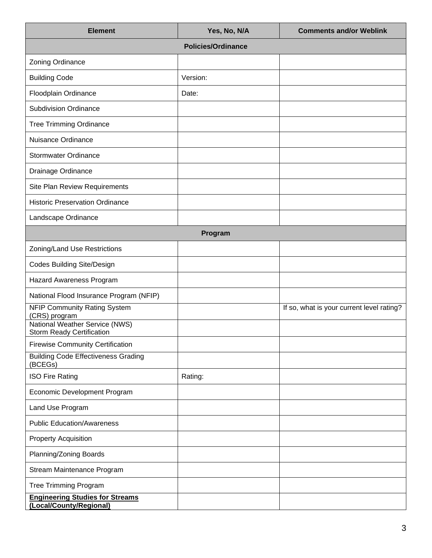| <b>Element</b>                                                     | Yes, No, N/A | <b>Comments and/or Weblink</b>            |  |  |  |
|--------------------------------------------------------------------|--------------|-------------------------------------------|--|--|--|
| <b>Policies/Ordinance</b>                                          |              |                                           |  |  |  |
| Zoning Ordinance                                                   |              |                                           |  |  |  |
| <b>Building Code</b>                                               | Version:     |                                           |  |  |  |
| Floodplain Ordinance                                               | Date:        |                                           |  |  |  |
| <b>Subdivision Ordinance</b>                                       |              |                                           |  |  |  |
| <b>Tree Trimming Ordinance</b>                                     |              |                                           |  |  |  |
| Nuisance Ordinance                                                 |              |                                           |  |  |  |
| <b>Stormwater Ordinance</b>                                        |              |                                           |  |  |  |
| Drainage Ordinance                                                 |              |                                           |  |  |  |
| Site Plan Review Requirements                                      |              |                                           |  |  |  |
| <b>Historic Preservation Ordinance</b>                             |              |                                           |  |  |  |
| Landscape Ordinance                                                |              |                                           |  |  |  |
|                                                                    | Program      |                                           |  |  |  |
| Zoning/Land Use Restrictions                                       |              |                                           |  |  |  |
| <b>Codes Building Site/Design</b>                                  |              |                                           |  |  |  |
| Hazard Awareness Program                                           |              |                                           |  |  |  |
| National Flood Insurance Program (NFIP)                            |              |                                           |  |  |  |
| <b>NFIP Community Rating System</b><br>(CRS) program               |              | If so, what is your current level rating? |  |  |  |
| National Weather Service (NWS)<br><b>Storm Ready Certification</b> |              |                                           |  |  |  |
| <b>Firewise Community Certification</b>                            |              |                                           |  |  |  |
| <b>Building Code Effectiveness Grading</b><br>(BCEGs)              |              |                                           |  |  |  |
| <b>ISO Fire Rating</b>                                             | Rating:      |                                           |  |  |  |
| Economic Development Program                                       |              |                                           |  |  |  |
| Land Use Program                                                   |              |                                           |  |  |  |
| <b>Public Education/Awareness</b>                                  |              |                                           |  |  |  |
| <b>Property Acquisition</b>                                        |              |                                           |  |  |  |
| Planning/Zoning Boards                                             |              |                                           |  |  |  |
| Stream Maintenance Program                                         |              |                                           |  |  |  |
| <b>Tree Trimming Program</b>                                       |              |                                           |  |  |  |
| <b>Engineering Studies for Streams</b><br>(Local/County/Regional)  |              |                                           |  |  |  |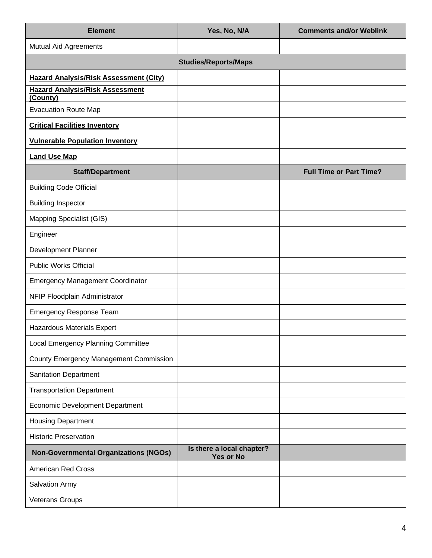| <b>Element</b>                                     | Yes, No, N/A                                  | <b>Comments and/or Weblink</b> |
|----------------------------------------------------|-----------------------------------------------|--------------------------------|
| <b>Mutual Aid Agreements</b>                       |                                               |                                |
|                                                    | <b>Studies/Reports/Maps</b>                   |                                |
| <b>Hazard Analysis/Risk Assessment (City)</b>      |                                               |                                |
| <b>Hazard Analysis/Risk Assessment</b><br>(County) |                                               |                                |
| <b>Evacuation Route Map</b>                        |                                               |                                |
| <b>Critical Facilities Inventory</b>               |                                               |                                |
| <b>Vulnerable Population Inventory</b>             |                                               |                                |
| <b>Land Use Map</b>                                |                                               |                                |
| <b>Staff/Department</b>                            |                                               | <b>Full Time or Part Time?</b> |
| <b>Building Code Official</b>                      |                                               |                                |
| <b>Building Inspector</b>                          |                                               |                                |
| Mapping Specialist (GIS)                           |                                               |                                |
| Engineer                                           |                                               |                                |
| Development Planner                                |                                               |                                |
| <b>Public Works Official</b>                       |                                               |                                |
| <b>Emergency Management Coordinator</b>            |                                               |                                |
| NFIP Floodplain Administrator                      |                                               |                                |
| <b>Emergency Response Team</b>                     |                                               |                                |
| Hazardous Materials Expert                         |                                               |                                |
| Local Emergency Planning Committee                 |                                               |                                |
| <b>County Emergency Management Commission</b>      |                                               |                                |
| <b>Sanitation Department</b>                       |                                               |                                |
| <b>Transportation Department</b>                   |                                               |                                |
| <b>Economic Development Department</b>             |                                               |                                |
| <b>Housing Department</b>                          |                                               |                                |
| <b>Historic Preservation</b>                       |                                               |                                |
| <b>Non-Governmental Organizations (NGOs)</b>       | Is there a local chapter?<br><b>Yes or No</b> |                                |
| <b>American Red Cross</b>                          |                                               |                                |
| Salvation Army                                     |                                               |                                |
| Veterans Groups                                    |                                               |                                |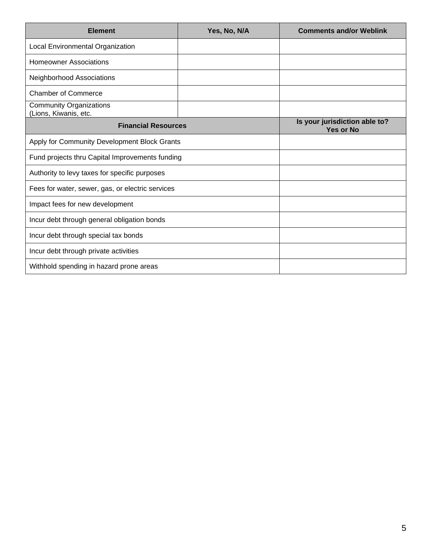| <b>Element</b>                                          | Yes, No, N/A | <b>Comments and/or Weblink</b>                    |  |  |
|---------------------------------------------------------|--------------|---------------------------------------------------|--|--|
| Local Environmental Organization                        |              |                                                   |  |  |
| <b>Homeowner Associations</b>                           |              |                                                   |  |  |
| Neighborhood Associations                               |              |                                                   |  |  |
| <b>Chamber of Commerce</b>                              |              |                                                   |  |  |
| <b>Community Organizations</b><br>(Lions, Kiwanis, etc. |              |                                                   |  |  |
| <b>Financial Resources</b>                              |              | Is your jurisdiction able to?<br><b>Yes or No</b> |  |  |
| Apply for Community Development Block Grants            |              |                                                   |  |  |
| Fund projects thru Capital Improvements funding         |              |                                                   |  |  |
| Authority to levy taxes for specific purposes           |              |                                                   |  |  |
| Fees for water, sewer, gas, or electric services        |              |                                                   |  |  |
| Impact fees for new development                         |              |                                                   |  |  |
| Incur debt through general obligation bonds             |              |                                                   |  |  |
| Incur debt through special tax bonds                    |              |                                                   |  |  |
| Incur debt through private activities                   |              |                                                   |  |  |
| Withhold spending in hazard prone areas                 |              |                                                   |  |  |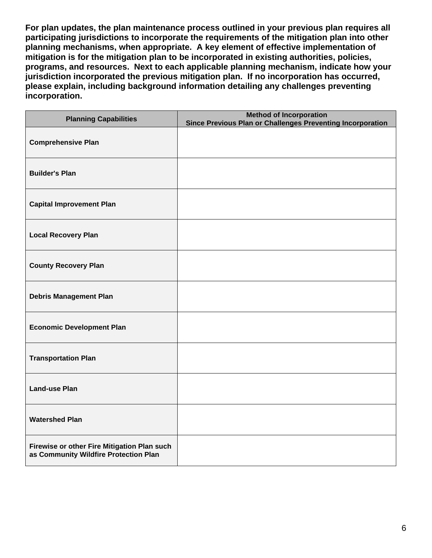**For plan updates, the plan maintenance process outlined in your previous plan requires all participating jurisdictions to incorporate the requirements of the mitigation plan into other planning mechanisms, when appropriate. A key element of effective implementation of mitigation is for the mitigation plan to be incorporated in existing authorities, policies, programs, and resources. Next to each applicable planning mechanism, indicate how your jurisdiction incorporated the previous mitigation plan. If no incorporation has occurred, please explain, including background information detailing any challenges preventing incorporation.**

| <b>Planning Capabilities</b>                                                         | <b>Method of Incorporation</b><br>Since Previous Plan or Challenges Preventing Incorporation |
|--------------------------------------------------------------------------------------|----------------------------------------------------------------------------------------------|
| <b>Comprehensive Plan</b>                                                            |                                                                                              |
| <b>Builder's Plan</b>                                                                |                                                                                              |
| <b>Capital Improvement Plan</b>                                                      |                                                                                              |
| <b>Local Recovery Plan</b>                                                           |                                                                                              |
| <b>County Recovery Plan</b>                                                          |                                                                                              |
| <b>Debris Management Plan</b>                                                        |                                                                                              |
| <b>Economic Development Plan</b>                                                     |                                                                                              |
| <b>Transportation Plan</b>                                                           |                                                                                              |
| <b>Land-use Plan</b>                                                                 |                                                                                              |
| <b>Watershed Plan</b>                                                                |                                                                                              |
| Firewise or other Fire Mitigation Plan such<br>as Community Wildfire Protection Plan |                                                                                              |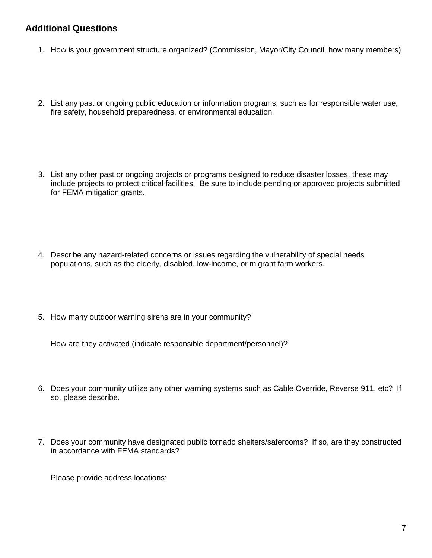### **Additional Questions**

- 1. How is your government structure organized? (Commission, Mayor/City Council, how many members)
- 2. List any past or ongoing public education or information programs, such as for responsible water use, fire safety, household preparedness, or environmental education.
- 3. List any other past or ongoing projects or programs designed to reduce disaster losses, these may include projects to protect critical facilities. Be sure to include pending or approved projects submitted for FEMA mitigation grants.
- 4. Describe any hazard-related concerns or issues regarding the vulnerability of special needs populations, such as the elderly, disabled, low-income, or migrant farm workers.
- 5. How many outdoor warning sirens are in your community?

How are they activated (indicate responsible department/personnel)?

- 6. Does your community utilize any other warning systems such as Cable Override, Reverse 911, etc? If so, please describe.
- 7. Does your community have designated public tornado shelters/saferooms? If so, are they constructed in accordance with FEMA standards?

Please provide address locations: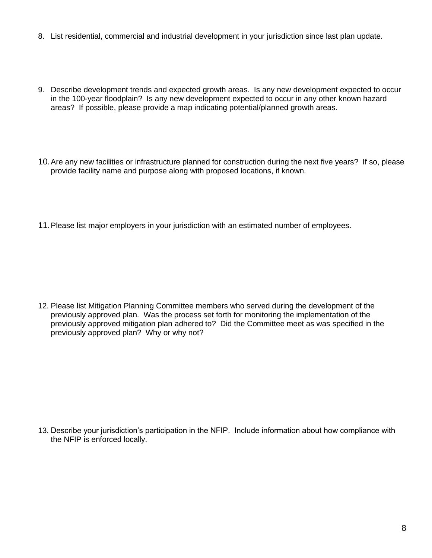- 8. List residential, commercial and industrial development in your jurisdiction since last plan update.
- 9. Describe development trends and expected growth areas. Is any new development expected to occur in the 100-year floodplain? Is any new development expected to occur in any other known hazard areas? If possible, please provide a map indicating potential/planned growth areas.
- 10.Are any new facilities or infrastructure planned for construction during the next five years? If so, please provide facility name and purpose along with proposed locations, if known.
- 11.Please list major employers in your jurisdiction with an estimated number of employees.

12. Please list Mitigation Planning Committee members who served during the development of the previously approved plan. Was the process set forth for monitoring the implementation of the previously approved mitigation plan adhered to? Did the Committee meet as was specified in the previously approved plan? Why or why not?

13. Describe your jurisdiction's participation in the NFIP. Include information about how compliance with the NFIP is enforced locally.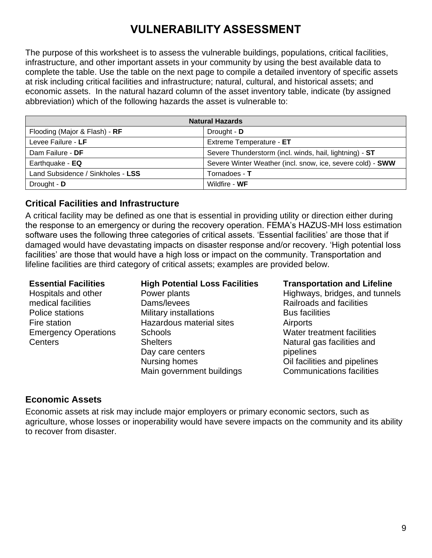# **VULNERABILITY ASSESSMENT**

The purpose of this worksheet is to assess the vulnerable buildings, populations, critical facilities, infrastructure, and other important assets in your community by using the best available data to complete the table. Use the table on the next page to compile a detailed inventory of specific assets at risk including critical facilities and infrastructure; natural, cultural, and historical assets; and economic assets. In the natural hazard column of the asset inventory table, indicate (by assigned abbreviation) which of the following hazards the asset is vulnerable to:

| <b>Natural Hazards</b>            |                                                            |  |
|-----------------------------------|------------------------------------------------------------|--|
| Flooding (Major & Flash) - RF     | Drought - D                                                |  |
| Levee Failure - LF                | Extreme Temperature - ET                                   |  |
| Dam Failure - DF                  | Severe Thunderstorm (incl. winds, hail, lightning) - ST    |  |
| Earthquake - EQ                   | Severe Winter Weather (incl. snow, ice, severe cold) - SWW |  |
| Land Subsidence / Sinkholes - LSS | Tornadoes - T                                              |  |
| Drought - D                       | Wildfire - WF                                              |  |

### **Critical Facilities and Infrastructure**

A critical facility may be defined as one that is essential in providing utility or direction either during the response to an emergency or during the recovery operation. FEMA's HAZUS-MH loss estimation software uses the following three categories of critical assets. 'Essential facilities' are those that if damaged would have devastating impacts on disaster response and/or recovery. 'High potential loss facilities' are those that would have a high loss or impact on the community. Transportation and lifeline facilities are third category of critical assets; examples are provided below.

Hospitals and other medical facilities Police stations Fire station Emergency Operations **Centers** 

### **Essential Facilities High Potential Loss Facilities Transportation and Lifeline**

Power plants Dams/levees Military installations Hazardous material sites **Schools Shelters** Day care centers Nursing homes Main government buildings

Highways, bridges, and tunnels Railroads and facilities Bus facilities **Airports** Water treatment facilities Natural gas facilities and pipelines Oil facilities and pipelines Communications facilities

### **Economic Assets**

Economic assets at risk may include major employers or primary economic sectors, such as agriculture, whose losses or inoperability would have severe impacts on the community and its ability to recover from disaster.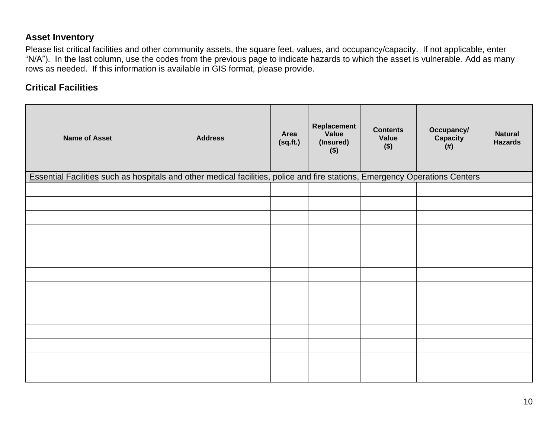### **Asset Inventory**

Please list critical facilities and other community assets, the square feet, values, and occupancy/capacity. If not applicable, enter "N/A"). In the last column, use the codes from the previous page to indicate hazards to which the asset is vulnerable. Add as many rows as needed. If this information is available in GIS format, please provide.

### **Critical Facilities**

| <b>Name of Asset</b> | <b>Address</b>                                                                                                              | Area<br>(sq.fr.) | Replacement<br>Value<br>(Insured)<br>$($ \$) | <b>Contents</b><br>Value<br>$($ \$) | Occupancy/<br>Capacity<br>(# ) | <b>Natural</b><br><b>Hazards</b> |
|----------------------|-----------------------------------------------------------------------------------------------------------------------------|------------------|----------------------------------------------|-------------------------------------|--------------------------------|----------------------------------|
|                      | Essential Facilities such as hospitals and other medical facilities, police and fire stations, Emergency Operations Centers |                  |                                              |                                     |                                |                                  |
|                      |                                                                                                                             |                  |                                              |                                     |                                |                                  |
|                      |                                                                                                                             |                  |                                              |                                     |                                |                                  |
|                      |                                                                                                                             |                  |                                              |                                     |                                |                                  |
|                      |                                                                                                                             |                  |                                              |                                     |                                |                                  |
|                      |                                                                                                                             |                  |                                              |                                     |                                |                                  |
|                      |                                                                                                                             |                  |                                              |                                     |                                |                                  |
|                      |                                                                                                                             |                  |                                              |                                     |                                |                                  |
|                      |                                                                                                                             |                  |                                              |                                     |                                |                                  |
|                      |                                                                                                                             |                  |                                              |                                     |                                |                                  |
|                      |                                                                                                                             |                  |                                              |                                     |                                |                                  |
|                      |                                                                                                                             |                  |                                              |                                     |                                |                                  |
|                      |                                                                                                                             |                  |                                              |                                     |                                |                                  |
|                      |                                                                                                                             |                  |                                              |                                     |                                |                                  |
|                      |                                                                                                                             |                  |                                              |                                     |                                |                                  |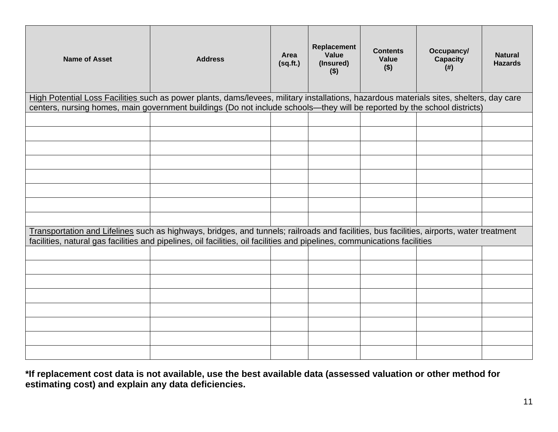| <b>Name of Asset</b> | <b>Address</b>                                                                                                                                                                                                                                                        | Area<br>(sq.fr.) | Replacement<br>Value<br>(Insured)<br>$($)$ | <b>Contents</b><br>Value<br>$($ \$) | Occupancy/<br><b>Capacity</b><br>$($ # $)$ | <b>Natural</b><br><b>Hazards</b> |
|----------------------|-----------------------------------------------------------------------------------------------------------------------------------------------------------------------------------------------------------------------------------------------------------------------|------------------|--------------------------------------------|-------------------------------------|--------------------------------------------|----------------------------------|
|                      | High Potential Loss Facilities such as power plants, dams/levees, military installations, hazardous materials sites, shelters, day care<br>centers, nursing homes, main government buildings (Do not include schools—they will be reported by the school districts)   |                  |                                            |                                     |                                            |                                  |
|                      |                                                                                                                                                                                                                                                                       |                  |                                            |                                     |                                            |                                  |
|                      |                                                                                                                                                                                                                                                                       |                  |                                            |                                     |                                            |                                  |
|                      |                                                                                                                                                                                                                                                                       |                  |                                            |                                     |                                            |                                  |
|                      |                                                                                                                                                                                                                                                                       |                  |                                            |                                     |                                            |                                  |
|                      |                                                                                                                                                                                                                                                                       |                  |                                            |                                     |                                            |                                  |
|                      |                                                                                                                                                                                                                                                                       |                  |                                            |                                     |                                            |                                  |
|                      |                                                                                                                                                                                                                                                                       |                  |                                            |                                     |                                            |                                  |
|                      |                                                                                                                                                                                                                                                                       |                  |                                            |                                     |                                            |                                  |
|                      | Transportation and Lifelines such as highways, bridges, and tunnels; railroads and facilities, bus facilities, airports, water treatment<br>facilities, natural gas facilities and pipelines, oil facilities, oil facilities and pipelines, communications facilities |                  |                                            |                                     |                                            |                                  |
|                      |                                                                                                                                                                                                                                                                       |                  |                                            |                                     |                                            |                                  |
|                      |                                                                                                                                                                                                                                                                       |                  |                                            |                                     |                                            |                                  |
|                      |                                                                                                                                                                                                                                                                       |                  |                                            |                                     |                                            |                                  |
|                      |                                                                                                                                                                                                                                                                       |                  |                                            |                                     |                                            |                                  |
|                      |                                                                                                                                                                                                                                                                       |                  |                                            |                                     |                                            |                                  |
|                      |                                                                                                                                                                                                                                                                       |                  |                                            |                                     |                                            |                                  |
|                      |                                                                                                                                                                                                                                                                       |                  |                                            |                                     |                                            |                                  |
|                      |                                                                                                                                                                                                                                                                       |                  |                                            |                                     |                                            |                                  |

**\*If replacement cost data is not available, use the best available data (assessed valuation or other method for estimating cost) and explain any data deficiencies.**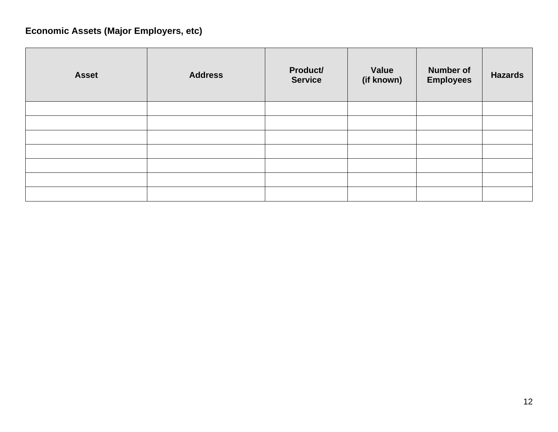# **Economic Assets (Major Employers, etc)**

| <b>Asset</b> | <b>Address</b> | Product/<br><b>Service</b> | Value<br>(if known) | <b>Number of</b><br><b>Employees</b> | <b>Hazards</b> |
|--------------|----------------|----------------------------|---------------------|--------------------------------------|----------------|
|              |                |                            |                     |                                      |                |
|              |                |                            |                     |                                      |                |
|              |                |                            |                     |                                      |                |
|              |                |                            |                     |                                      |                |
|              |                |                            |                     |                                      |                |
|              |                |                            |                     |                                      |                |
|              |                |                            |                     |                                      |                |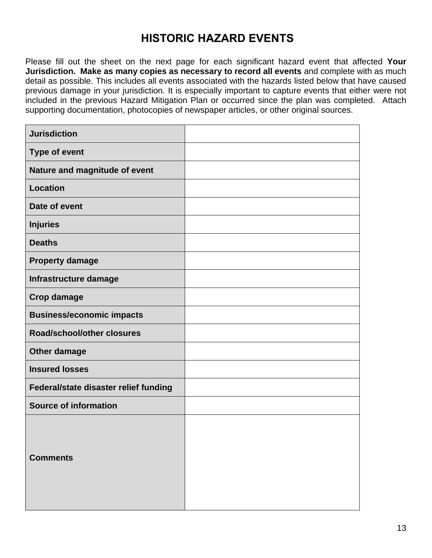# **HISTORIC HAZARD EVENTS**

Please fill out the sheet on the next page for each significant hazard event that affected **Your Jurisdiction. Make as many copies as necessary to record all events** and complete with as much detail as possible. This includes all events associated with the hazards listed below that have caused previous damage in your jurisdiction. It is especially important to capture events that either were not included in the previous Hazard Mitigation Plan or occurred since the plan was completed. Attach supporting documentation, photocopies of newspaper articles, or other original sources.

| <b>Jurisdiction</b>                   |  |
|---------------------------------------|--|
| <b>Type of event</b>                  |  |
| Nature and magnitude of event         |  |
| <b>Location</b>                       |  |
| Date of event                         |  |
| <b>Injuries</b>                       |  |
| <b>Deaths</b>                         |  |
| <b>Property damage</b>                |  |
| Infrastructure damage                 |  |
| <b>Crop damage</b>                    |  |
| <b>Business/economic impacts</b>      |  |
| Road/school/other closures            |  |
| Other damage                          |  |
| <b>Insured losses</b>                 |  |
| Federal/state disaster relief funding |  |
| <b>Source of information</b>          |  |
| <b>Comments</b>                       |  |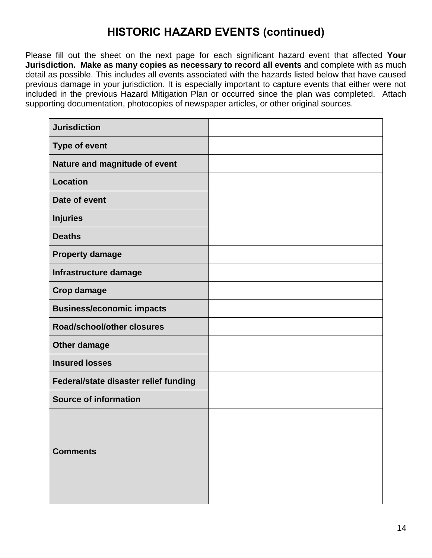# **HISTORIC HAZARD EVENTS (continued)**

Please fill out the sheet on the next page for each significant hazard event that affected **Your Jurisdiction. Make as many copies as necessary to record all events** and complete with as much detail as possible. This includes all events associated with the hazards listed below that have caused previous damage in your jurisdiction. It is especially important to capture events that either were not included in the previous Hazard Mitigation Plan or occurred since the plan was completed. Attach supporting documentation, photocopies of newspaper articles, or other original sources.

| <b>Jurisdiction</b>                   |  |
|---------------------------------------|--|
| <b>Type of event</b>                  |  |
| Nature and magnitude of event         |  |
| <b>Location</b>                       |  |
| Date of event                         |  |
| <b>Injuries</b>                       |  |
| <b>Deaths</b>                         |  |
| <b>Property damage</b>                |  |
| Infrastructure damage                 |  |
| <b>Crop damage</b>                    |  |
| <b>Business/economic impacts</b>      |  |
| Road/school/other closures            |  |
| Other damage                          |  |
| <b>Insured losses</b>                 |  |
| Federal/state disaster relief funding |  |
| <b>Source of information</b>          |  |
| <b>Comments</b>                       |  |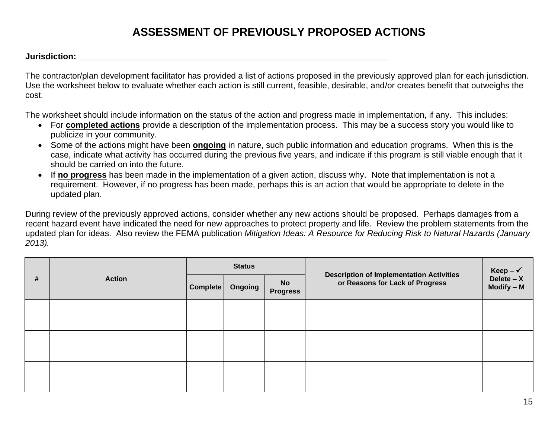# **ASSESSMENT OF PREVIOUSLY PROPOSED ACTIONS**

**Jurisdiction: \_\_\_\_\_\_\_\_\_\_\_\_\_\_\_\_\_\_\_\_\_\_\_\_\_\_\_\_\_\_\_\_\_\_\_\_\_\_\_\_\_\_\_\_\_\_\_\_\_\_\_\_\_\_\_\_\_\_\_\_\_\_\_\_\_\_**

The contractor/plan development facilitator has provided a list of actions proposed in the previously approved plan for each jurisdiction. Use the worksheet below to evaluate whether each action is still current, feasible, desirable, and/or creates benefit that outweighs the cost.

The worksheet should include information on the status of the action and progress made in implementation, if any. This includes:

- For **completed actions** provide a description of the implementation process. This may be a success story you would like to publicize in your community.
- Some of the actions might have been **ongoing** in nature, such public information and education programs. When this is the case, indicate what activity has occurred during the previous five years, and indicate if this program is still viable enough that it should be carried on into the future.
- If **no progress** has been made in the implementation of a given action, discuss why. Note that implementation is not a requirement. However, if no progress has been made, perhaps this is an action that would be appropriate to delete in the updated plan.

During review of the previously approved actions, consider whether any new actions should be proposed. Perhaps damages from a recent hazard event have indicated the need for new approaches to protect property and life. Review the problem statements from the updated plan for ideas. Also review the FEMA publication *Mitigation Ideas: A Resource for Reducing Risk to Natural Hazards (January 2013).*

| # | <b>Action</b> | <b>Status</b> |         |                              |                                                                                    | Keep – $\checkmark$          |
|---|---------------|---------------|---------|------------------------------|------------------------------------------------------------------------------------|------------------------------|
|   |               | Complete      | Ongoing | <b>No</b><br><b>Progress</b> | <b>Description of Implementation Activities</b><br>or Reasons for Lack of Progress | Delete $- X$<br>$Modify - M$ |
|   |               |               |         |                              |                                                                                    |                              |
|   |               |               |         |                              |                                                                                    |                              |
|   |               |               |         |                              |                                                                                    |                              |